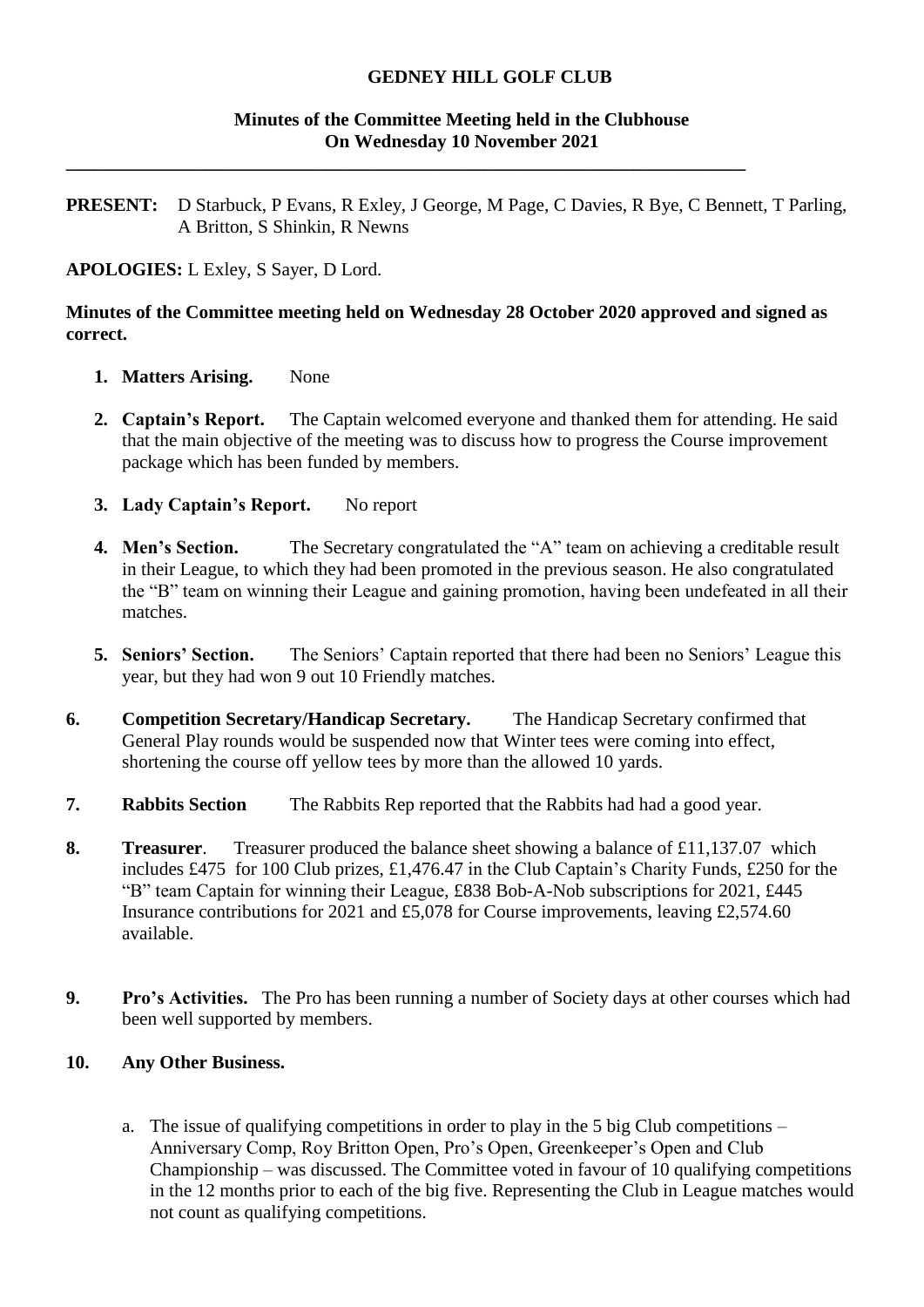### **Minutes of the Committee Meeting held in the Clubhouse On Wednesday 10 November 2021**

**PRESENT:** D Starbuck, P Evans, R Exley, J George, M Page, C Davies, R Bye, C Bennett, T Parling, A Britton, S Shinkin, R Newns

**\_\_\_\_\_\_\_\_\_\_\_\_\_\_\_\_\_\_\_\_\_\_\_\_\_\_\_\_\_\_\_\_\_\_\_\_\_\_\_\_\_\_\_\_\_\_\_\_\_\_\_\_\_\_\_\_\_\_\_\_\_\_\_\_\_\_\_\_\_\_\_\_\_**

**APOLOGIES:** L Exley, S Sayer, D Lord.

### **Minutes of the Committee meeting held on Wednesday 28 October 2020 approved and signed as correct.**

- **1. Matters Arising.** None
- **2. Captain's Report.** The Captain welcomed everyone and thanked them for attending. He said that the main objective of the meeting was to discuss how to progress the Course improvement package which has been funded by members.
- **3. Lady Captain's Report.** No report
- **4. Men's Section.** The Secretary congratulated the "A" team on achieving a creditable result in their League, to which they had been promoted in the previous season. He also congratulated the "B" team on winning their League and gaining promotion, having been undefeated in all their matches.
- **5. Seniors' Section.** The Seniors' Captain reported that there had been no Seniors' League this year, but they had won 9 out 10 Friendly matches.
- **6. Competition Secretary/Handicap Secretary.** The Handicap Secretary confirmed that General Play rounds would be suspended now that Winter tees were coming into effect, shortening the course off yellow tees by more than the allowed 10 yards.
- **7. Rabbits Section** The Rabbits Rep reported that the Rabbits had had a good year.
- **8. Treasurer**. Treasurer produced the balance sheet showing a balance of £11,137.07 which includes £475 for 100 Club prizes, £1,476.47 in the Club Captain's Charity Funds, £250 for the "B" team Captain for winning their League, £838 Bob-A-Nob subscriptions for 2021, £445 Insurance contributions for 2021 and £5,078 for Course improvements, leaving £2,574.60 available.
- **9. Pro's Activities.** The Pro has been running a number of Society days at other courses which had been well supported by members.

# **10. Any Other Business.**

a. The issue of qualifying competitions in order to play in the 5 big Club competitions – Anniversary Comp, Roy Britton Open, Pro's Open, Greenkeeper's Open and Club Championship – was discussed. The Committee voted in favour of 10 qualifying competitions in the 12 months prior to each of the big five. Representing the Club in League matches would not count as qualifying competitions.